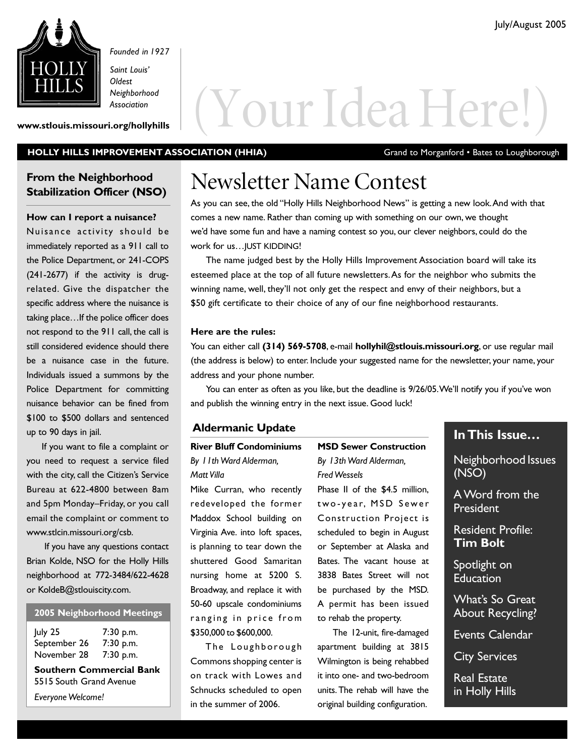

*Founded in 1927*

*Saint Louis' Oldest Neighborhood Association*

# Weighborhood<br>Www.stlouis.missouri.org/hollyhills<br>Www.stlouis.missouri.org/hollyhills

#### HOLLY HILLS IMPROVEMENT ASSOCIATION (HHIA) Grand to Morganford • Bates to Loughborough

#### **From the Neighborhood Stabilization Officer (NSO)**

**How can I report a nuisance?** Nuisance activity should be immediately reported as a 911 call to the Police Department, or 241-COPS (241-2677) if the activity is drugrelated. Give the dispatcher the specific address where the nuisance is taking place…If the police officer does not respond to the 911 call, the call is still considered evidence should there be a nuisance case in the future. Individuals issued a summons by the Police Department for committing nuisance behavior can be fined from \$100 to \$500 dollars and sentenced up to 90 days in jail.

If you want to file a complaint or you need to request a service filed with the city, call the Citizen's Service Bureau at 622-4800 between 8am and 5pm Monday–Friday, or you call email the complaint or comment to www.stlcin.missouri.org/csb.

If you have any questions contact Brian Kolde, NSO for the Holly Hills neighborhood at 772-3484/622-4628 or KoldeB@stlouiscity.com.

#### **2005 Neighborhood Meetings**

| July 25      | 7:30 p.m. |
|--------------|-----------|
| September 26 | 7:30 p.m. |
| November 28  | 7:30 p.m. |

**Southern Commercial Bank** 5515 South Grand Avenue

*Everyone Welcome!*

### Newsletter Name Contest

As you can see, the old "Holly Hills Neighborhood News" is getting a new look.And with that comes a new name. Rather than coming up with something on our own, we thought we'd have some fun and have a naming contest so you, our clever neighbors, could do the work for us…JUST KIDDING!

The name judged best by the Holly Hills Improvement Association board will take its esteemed place at the top of all future newsletters.As for the neighbor who submits the winning name, well, they'll not only get the respect and envy of their neighbors, but a \$50 gift certificate to their choice of any of our fine neighborhood restaurants.

#### **Here are the rules:**

You can either call **(314) 569-5708**, e-mail **hollyhil@stlouis.missouri.org**, or use regular mail (the address is below) to enter. Include your suggested name for the newsletter, your name, your address and your phone number.

You can enter as often as you like, but the deadline is 9/26/05. We'll notify you if you've won and publish the winning entry in the next issue. Good luck!

#### **Aldermanic Update**

#### **River Bluff Condominiums** *By 11th Ward Alderman, Matt Villa*

Mike Curran, who recently redeveloped the former Maddox School building on Virginia Ave. into loft spaces, is planning to tear down the shuttered Good Samaritan nursing home at 5200 S. Broadway, and replace it with 50-60 upscale condominiums ranging in price from \$350,000 to \$600,000.

The Loughborough Commons shopping center is on track with Lowes and Schnucks scheduled to open in the summer of 2006.

#### **MSD Sewer Construction** *By 13th Ward Alderman,*

*Fred Wessels* Phase II of the \$4.5 million, two-year, MSD Sewer Construction Project is scheduled to begin in August or September at Alaska and Bates. The vacant house at 3838 Bates Street will not be purchased by the MSD. A permit has been issued to rehab the property.

The 12-unit, fire-damaged apartment building at 3815 Wilmington is being rehabbed it into one- and two-bedroom units. The rehab will have the original building configuration.

#### **In This Issue…**

Neighborhood Issues (NSO)

A Word from the President

Resident Profile: **Tim Bolt**

Spotlight on **Education** 

What's So Great About Recycling?

Events Calendar

City Services

Real Estate in Holly Hills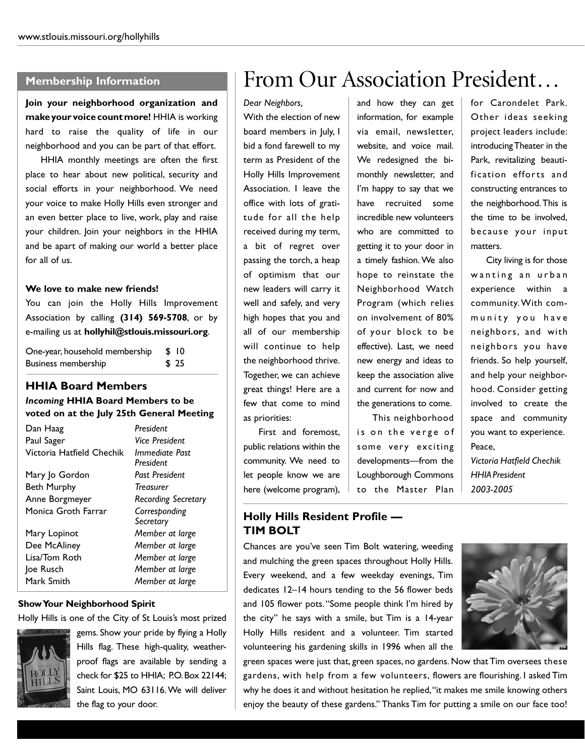#### **Membership Information**

**Join your neighborhood organization and make your voice count more!** HHIA is working hard to raise the quality of life in our neighborhood and you can be part of that effort.

HHIA monthly meetings are often the first place to hear about new political, security and social efforts in your neighborhood. We need your voice to make Holly Hills even stronger and an even better place to live, work, play and raise your children. Join your neighbors in the HHIA and be apart of making our world a better place for all of us.

#### **We love to make new friends!**

You can join the Holly Hills Improvement Association by calling **(314) 569-5708**, or by e-mailing us at **hollyhil@stlouis.missouri.org**.

| One-year, household membership | -SI 10 |
|--------------------------------|--------|
| Business membership            | \$ 25  |

#### **HHIA Board Members**

#### *Incoming* **HHIA Board Members to be voted on at the July 25th General Meeting**

| Dan Haag                  | President                   |  |
|---------------------------|-----------------------------|--|
| Paul Sager                | Vice President              |  |
| Victoria Hatfield Chechik | Immediate Past<br>President |  |
| Mary Jo Gordon            | Past President              |  |
| <b>Beth Murphy</b>        | <b>Treasurer</b>            |  |
| Anne Borgmeyer            | <b>Recording Secretary</b>  |  |
| Monica Groth Farrar       | Corresponding<br>Secretary  |  |
| Mary Lopinot              | Member at large             |  |
| Dee McAliney              | Member at large             |  |
| Lisa/Tom Roth             | Member at large             |  |
| Joe Rusch                 | Member at large             |  |
| Mark Smith                | Member at large             |  |
|                           |                             |  |

#### **Show Your Neighborhood Spirit**

Holly Hills is one of the City of St Louis's most prized



gems. Show your pride by flying a Holly Hills flag. These high-quality, weatherproof flags are available by sending a check for \$25 to HHIA; P.O.Box 22144; Saint Louis, MO 63116. We will deliver the flag to your door.

### From Our Association President…

*Dear Neighbors,* With the election of new board members in July, I bid a fond farewell to my term as President of the Holly Hills Improvement Association. I leave the office with lots of gratitude for all the help received during my term, a bit of regret over passing the torch, a heap of optimism that our new leaders will carry it well and safely, and very high hopes that you and all of our membership will continue to help the neighborhood thrive. Together, we can achieve great things! Here are a few that come to mind as priorities:

First and foremost, public relations within the community. We need to let people know we are here (welcome program), and how they can get information, for example via email, newsletter, website, and voice mail. We redesigned the bimonthly newsletter, and I'm happy to say that we have recruited some incredible new volunteers who are committed to getting it to your door in a timely fashion. We also hope to reinstate the Neighborhood Watch Program (which relies on involvement of 80% of your block to be effective). Last, we need new energy and ideas to keep the association alive and current for now and the generations to come.

This neighborhood is on the verge of some very exciting developments—from the Loughborough Commons to the Master Plan

for Carondelet Park. Other ideas seeking project leaders include: introducing Theater in the Park, revitalizing beautification efforts and constructing entrances to the neighborhood.This is the time to be involved, because your input matters.

City living is for those wanting an urban experience within a community. With community you have neighbors, and with neighbors you have friends. So help yourself, and help your neighborhood. Consider getting involved to create the space and community you want to experience. Peace,

*Victoria Hatfield Chechik HHIAPresident 2003-2005*

#### **Holly Hills Resident Profile — TIM BOLT**

Chances are you've seen Tim Bolt watering, weeding and mulching the green spaces throughout Holly Hills. Every weekend, and a few weekday evenings, Tim dedicates 12–14 hours tending to the 56 flower beds and 105 flower pots."Some people think I'm hired by the city" he says with a smile, but Tim is a 14-year Holly Hills resident and a volunteer. Tim started volunteering his gardening skills in 1996 when all the



green spaces were just that, green spaces, no gardens. Now that Tim oversees these gardens, with help from a few volunteers, flowers are flourishing. I asked Tim why he does it and without hesitation he replied,"it makes me smile knowing others enjoy the beauty of these gardens." Thanks Tim for putting a smile on our face too!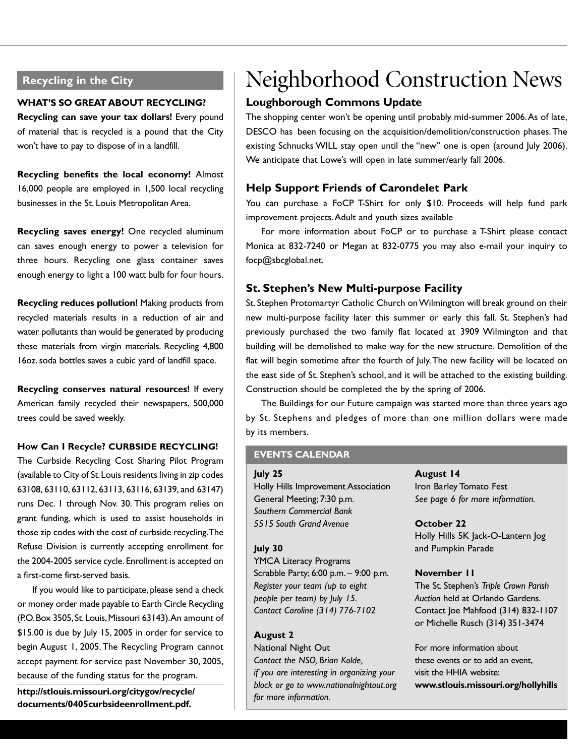#### **Recycling in the City**

#### **WHAT'S SO GREAT ABOUT RECYCLING?**

**Recycling can save your tax dollars!** Every pound of material that is recycled is a pound that the City won't have to pay to dispose of in a landfill.

**Recycling benefits the local economy!** Almost 16,000 people are employed in 1,500 local recycling businesses in the St. Louis Metropolitan Area.

**Recycling saves energy!** One recycled aluminum can saves enough energy to power a television for three hours. Recycling one glass container saves enough energy to light a 100 watt bulb for four hours.

**Recycling reduces pollution!** Making products from recycled materials results in a reduction of air and water pollutants than would be generated by producing these materials from virgin materials. Recycling 4,800 16oz. soda bottles saves a cubic yard of landfill space.

**Recycling conserves natural resources!** If every American family recycled their newspapers, 500,000 trees could be saved weekly.

#### **How Can I Recycle? CURBSIDE RECYCLING!**

The Curbside Recycling Cost Sharing Pilot Program (available to City of St.Louis residents living in zip codes 63108, 63110, 63112, 63113, 63116, 63139, and 63147) runs Dec. 1 through Nov. 30. This program relies on grant funding, which is used to assist households in those zip codes with the cost of curbside recycling.The Refuse Division is currently accepting enrollment for the 2004-2005 service cycle.Enrollment is accepted on a first-come first-served basis.

If you would like to participate, please send a check or money order made payable to Earth Circle Recycling (P.O.Box 3505,St.Louis,Missouri 63143).An amount of \$15.00 is due by July 15, 2005 in order for service to begin August 1, 2005. The Recycling Program cannot accept payment for service past November 30, 2005, because of the funding status for the program.

**http://stlouis.missouri.org/citygov/recycle/ documents/0405curbsideenrollment.pdf.**

### Neighborhood Construction News

#### **Loughborough Commons Update**

The shopping center won't be opening until probably mid-summer 2006.As of late, DESCO has been focusing on the acquisition/demolition/construction phases.The existing Schnucks WILL stay open until the "new" one is open (around July 2006). We anticipate that Lowe's will open in late summer/early fall 2006.

#### **Help Support Friends of Carondelet Park**

You can purchase a FoCP T-Shirt for only \$10. Proceeds will help fund park improvement projects.Adult and youth sizes available

For more information about FoCP or to purchase a T-Shirt please contact Monica at 832-7240 or Megan at 832-0775 you may also e-mail your inquiry to focp@sbcglobal.net.

#### **St. Stephen's New Multi-purpose Facility**

St. Stephen Protomartyr Catholic Church on Wilmington will break ground on their new multi-purpose facility later this summer or early this fall. St. Stephen's had previously purchased the two family flat located at 3909 Wilmington and that building will be demolished to make way for the new structure. Demolition of the flat will begin sometime after the fourth of July.The new facility will be located on the east side of St. Stephen's school, and it will be attached to the existing building. Construction should be completed the by the spring of 2006.

The Buildings for our Future campaign was started more than three years ago by St. Stephens and pledges of more than one million dollars were made by its members.

#### **EVENTS CALENDAR**

#### **July 25**

Holly Hills Improvement Association General Meeting; 7:30 p.m. *Southern Commercial Bank 5515 South Grand Avenue*

#### **July 30**

YMCA Literacy Programs Scrabble Party; 6:00 p.m. – 9:00 p.m. *Register your team (up to eight people per team) by July 15. Contact Caroline (314) 776-7102*

#### **August 2**

National Night Out *Contact the NSO, Brian Kolde, if you are interesting in organizing your block or go to www.nationalnightout.org for more information.*

**August 14** Iron Barley Tomato Fest *See page 6 for more information.*

#### **October 22**

Holly Hills 5K Jack-O-Lantern Jog and Pumpkin Parade

#### **November 11**

The St. Stephen's *Triple Crown Parish Auction* held at Orlando Gardens. Contact Joe Mahfood (314) 832-1107 or Michelle Rusch (314) 351-3474

For more information about these events or to add an event, visit the HHIA website: **www.stlouis.missouri.org/hollyhills**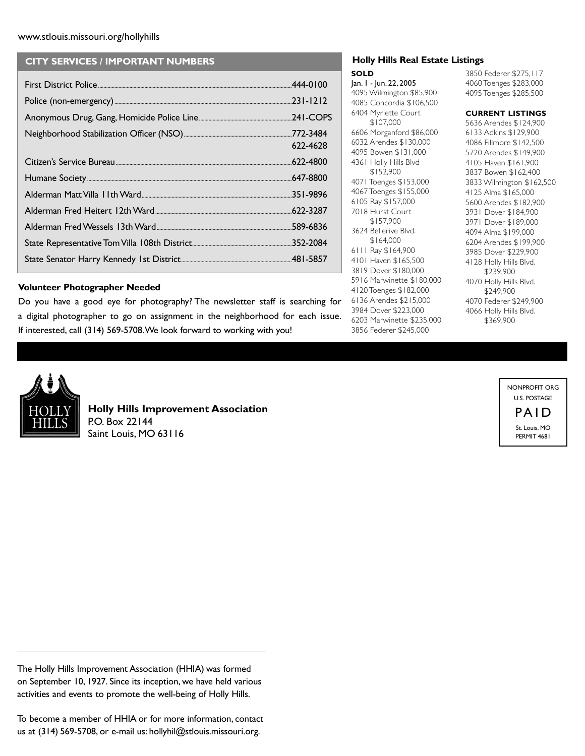#### www.stlouis.missouri.org/hollyhills

#### **CITY SERVICES / IMPORTANT NUMBERS**

| 622-4628 |
|----------|
|          |
|          |
|          |
|          |
|          |
|          |
|          |

#### **Volunteer Photographer Needed**

Do you have a good eye for photography? The newsletter staff is searching for a digital photographer to go on assignment in the neighborhood for each issue. If interested, call (314) 569-5708.We look forward to working with you!

#### **Holly Hills Real Estate Listings**

**SOLD** Jan. 1 - Jun. 22, 2005 4095 Wilmington \$85,900 4085 Concordia \$106,500 6404 Myrlette Court \$107,000 6606 Morganford \$86,000 6032 Arendes \$130,000 4095 Bowen \$131,000 4361 Holly Hills Blvd \$152,900 4071 Toenges \$153,000 4067 Toenges \$155,000 6105 Ray \$157,000 7018 Hurst Court \$157,900 3624 Bellerive Blvd. \$164,000 6111 Ray \$164,900 4101 Haven \$165,500 3819 Dover \$180,000 5916 Marwinette \$180,000 4120 Toenges \$182,000 6136 Arendes \$215,000 3984 Dover \$223,000 6203 Marwinette \$235,000 3856 Federer \$245,000

3850 Federer \$275,117 4060 Toenges \$283,000 4095 Toenges \$285,500

#### **CURRENT LISTINGS**

5636 Arendes \$124,900 6133 Adkins \$129,900 4086 Fillmore \$142,500 5720 Arendes \$149,900 4105 Haven \$161,900 3837 Bowen \$162,400 3833 Wilmington \$162,500 4125 Alma \$165,000 5600 Arendes \$182,900 3931 Dover \$184,900 3971 Dover \$189,000 4094 Alma \$199,000 6204 Arendes \$199,900 3985 Dover \$229,900 4128 Holly Hills Blvd. \$239,900 4070 Holly Hills Blvd. \$249,900 4070 Federer \$249,900 4066 Holly Hills Blvd. \$369,900



**Holly Hills Improvement Association** P.O. Box 22144 Saint Louis, MO 63116

NONPROFIT ORG U.S. POSTAGE

> PAID St. Louis, MO PERMIT 4681

The Holly Hills Improvement Association (HHIA) was formed on September 10, 1927. Since its inception, we have held various activities and events to promote the well-being of Holly Hills.

To become a member of HHIA or for more information, contact us at (314) 569-5708, or e-mail us: hollyhil@stlouis.missouri.org.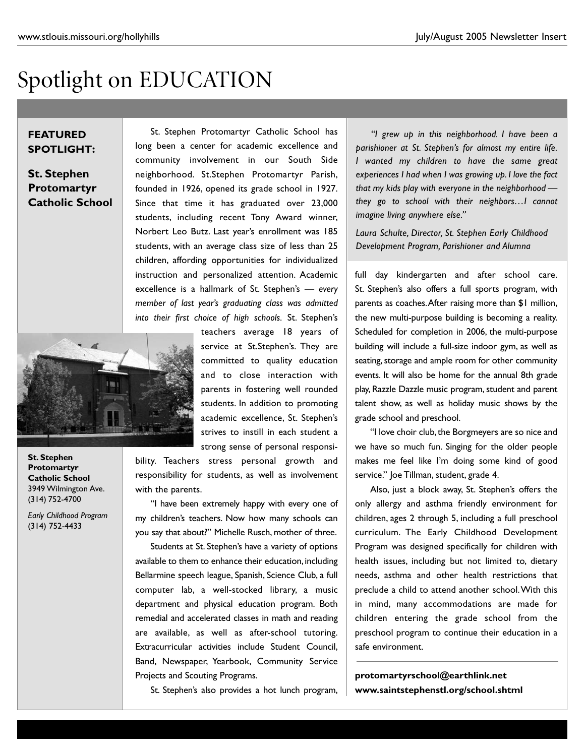## Spotlight on EDUCATION

#### **FEATURED SPOTLIGHT:**

**St. Stephen Protomartyr Catholic School**

St. Stephen Protomartyr Catholic School has long been a center for academic excellence and community involvement in our South Side neighborhood. St.Stephen Protomartyr Parish, founded in 1926, opened its grade school in 1927. Since that time it has graduated over 23,000 students, including recent Tony Award winner, Norbert Leo Butz. Last year's enrollment was 185 students, with an average class size of less than 25 children, affording opportunities for individualized instruction and personalized attention. Academic excellence is a hallmark of St. Stephen's — *every member of last year's graduating class was admitted into their first choice of high schools.* St. Stephen's



teachers average 18 years of service at St.Stephen's. They are committed to quality education and to close interaction with parents in fostering well rounded students. In addition to promoting academic excellence, St. Stephen's strives to instill in each student a strong sense of personal responsi-

bility. Teachers stress personal growth and responsibility for students, as well as involvement with the parents.

"I have been extremely happy with every one of my children's teachers. Now how many schools can you say that about?" Michelle Rusch, mother of three.

Students at St. Stephen's have a variety of options available to them to enhance their education, including Bellarmine speech league, Spanish, Science Club, a full computer lab, a well-stocked library, a music department and physical education program. Both remedial and accelerated classes in math and reading are available, as well as after-school tutoring. Extracurricular activities include Student Council, Band, Newspaper, Yearbook, Community Service Projects and Scouting Programs.

St. Stephen's also provides a hot lunch program,

*"I grew up in this neighborhood. I have been a parishioner at St. Stephen's for almost my entire life. I wanted my children to have the same great experiences I had when I was growing up. I love the fact that my kids play with everyone in the neighborhood they go to school with their neighbors…I cannot imagine living anywhere else."*

*Laura Schulte, Director, St. Stephen Early Childhood Development Program, Parishioner and Alumna*

full day kindergarten and after school care. St. Stephen's also offers a full sports program, with parents as coaches.After raising more than \$1 million, the new multi-purpose building is becoming a reality. Scheduled for completion in 2006, the multi-purpose building will include a full-size indoor gym, as well as seating, storage and ample room for other community events. It will also be home for the annual 8th grade play, Razzle Dazzle music program, student and parent talent show, as well as holiday music shows by the grade school and preschool.

"I love choir club, the Borgmeyers are so nice and we have so much fun. Singing for the older people makes me feel like I'm doing some kind of good service." Joe Tillman, student, grade 4.

Also, just a block away, St. Stephen's offers the only allergy and asthma friendly environment for children, ages 2 through 5, including a full preschool curriculum. The Early Childhood Development Program was designed specifically for children with health issues, including but not limited to, dietary needs, asthma and other health restrictions that preclude a child to attend another school.With this in mind, many accommodations are made for children entering the grade school from the preschool program to continue their education in a safe environment.

**protomartyrschool@earthlink.net www.saintstephenstl.org/school.shtml** 

**St. Stephen Protomartyr Catholic School** 3949 Wilmington Ave. (314) 752-4700

*Early Childhood Program* (314) 752-4433